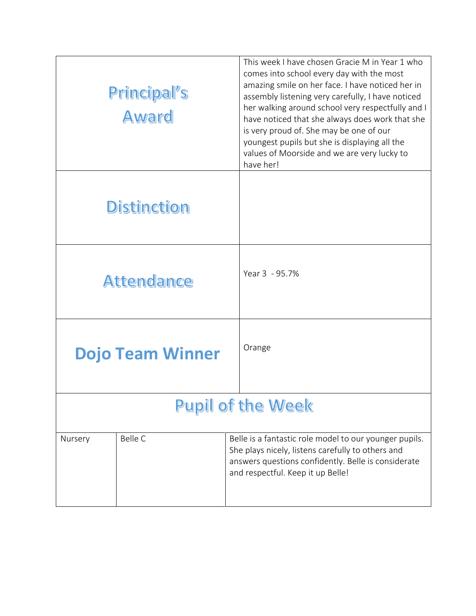| Principal's<br>Award     |                         | This week I have chosen Gracie M in Year 1 who<br>comes into school every day with the most<br>amazing smile on her face. I have noticed her in<br>assembly listening very carefully, I have noticed<br>her walking around school very respectfully and I<br>have noticed that she always does work that she<br>is very proud of. She may be one of our<br>youngest pupils but she is displaying all the<br>values of Moorside and we are very lucky to<br>have her! |  |  |
|--------------------------|-------------------------|----------------------------------------------------------------------------------------------------------------------------------------------------------------------------------------------------------------------------------------------------------------------------------------------------------------------------------------------------------------------------------------------------------------------------------------------------------------------|--|--|
|                          | <b>Distinction</b>      |                                                                                                                                                                                                                                                                                                                                                                                                                                                                      |  |  |
|                          | <b>Attendance</b>       | Year 3 - 95.7%                                                                                                                                                                                                                                                                                                                                                                                                                                                       |  |  |
|                          | <b>Dojo Team Winner</b> | Orange                                                                                                                                                                                                                                                                                                                                                                                                                                                               |  |  |
| <b>Pupil of the Week</b> |                         |                                                                                                                                                                                                                                                                                                                                                                                                                                                                      |  |  |
| Nursery                  | Belle C                 | Belle is a fantastic role model to our younger pupils.<br>She plays nicely, listens carefully to others and<br>answers questions confidently. Belle is considerate<br>and respectful. Keep it up Belle!                                                                                                                                                                                                                                                              |  |  |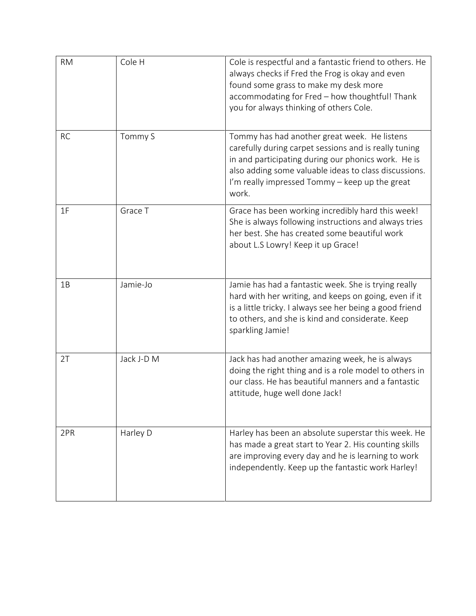| <b>RM</b> | Cole H     | Cole is respectful and a fantastic friend to others. He<br>always checks if Fred the Frog is okay and even<br>found some grass to make my desk more<br>accommodating for Fred - how thoughtful! Thank<br>you for always thinking of others Cole.                                 |
|-----------|------------|----------------------------------------------------------------------------------------------------------------------------------------------------------------------------------------------------------------------------------------------------------------------------------|
| <b>RC</b> | Tommy S    | Tommy has had another great week. He listens<br>carefully during carpet sessions and is really tuning<br>in and participating during our phonics work. He is<br>also adding some valuable ideas to class discussions.<br>I'm really impressed Tommy – keep up the great<br>work. |
| 1F        | Grace T    | Grace has been working incredibly hard this week!<br>She is always following instructions and always tries<br>her best. She has created some beautiful work<br>about L.S Lowry! Keep it up Grace!                                                                                |
| 1B        | Jamie-Jo   | Jamie has had a fantastic week. She is trying really<br>hard with her writing, and keeps on going, even if it<br>is a little tricky. I always see her being a good friend<br>to others, and she is kind and considerate. Keep<br>sparkling Jamie!                                |
| 2T        | Jack J-D M | Jack has had another amazing week, he is always<br>doing the right thing and is a role model to others in<br>our class. He has beautiful manners and a fantastic<br>attitude, huge well done Jack!                                                                               |
| 2PR       | Harley D   | Harley has been an absolute superstar this week. He<br>has made a great start to Year 2. His counting skills<br>are improving every day and he is learning to work<br>independently. Keep up the fantastic work Harley!                                                          |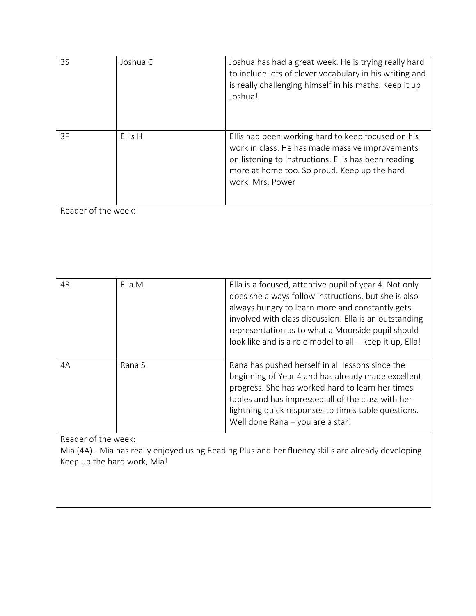| 3S                                                                                                                                 | Joshua C            | Joshua has had a great week. He is trying really hard<br>to include lots of clever vocabulary in his writing and<br>is really challenging himself in his maths. Keep it up<br>Joshua!                                                                                                                       |  |  |
|------------------------------------------------------------------------------------------------------------------------------------|---------------------|-------------------------------------------------------------------------------------------------------------------------------------------------------------------------------------------------------------------------------------------------------------------------------------------------------------|--|--|
| 3F                                                                                                                                 | Ellis H             | Ellis had been working hard to keep focused on his<br>work in class. He has made massive improvements<br>on listening to instructions. Ellis has been reading<br>more at home too. So proud. Keep up the hard<br>work. Mrs. Power                                                                           |  |  |
|                                                                                                                                    | Reader of the week: |                                                                                                                                                                                                                                                                                                             |  |  |
| 4R                                                                                                                                 | Ella M              | Ella is a focused, attentive pupil of year 4. Not only                                                                                                                                                                                                                                                      |  |  |
|                                                                                                                                    |                     | does she always follow instructions, but she is also<br>always hungry to learn more and constantly gets<br>involved with class discussion. Ella is an outstanding<br>representation as to what a Moorside pupil should<br>look like and is a role model to all - keep it up, Ella!                          |  |  |
| 4A                                                                                                                                 | Rana S              | Rana has pushed herself in all lessons since the<br>beginning of Year 4 and has already made excellent<br>progress. She has worked hard to learn her times<br>tables and has impressed all of the class with her<br>lightning quick responses to times table questions.<br>Well done Rana - you are a star! |  |  |
| Reader of the week:                                                                                                                |                     |                                                                                                                                                                                                                                                                                                             |  |  |
| Mia (4A) - Mia has really enjoyed using Reading Plus and her fluency skills are already developing.<br>Keep up the hard work, Mia! |                     |                                                                                                                                                                                                                                                                                                             |  |  |
|                                                                                                                                    |                     |                                                                                                                                                                                                                                                                                                             |  |  |
|                                                                                                                                    |                     |                                                                                                                                                                                                                                                                                                             |  |  |
|                                                                                                                                    |                     |                                                                                                                                                                                                                                                                                                             |  |  |